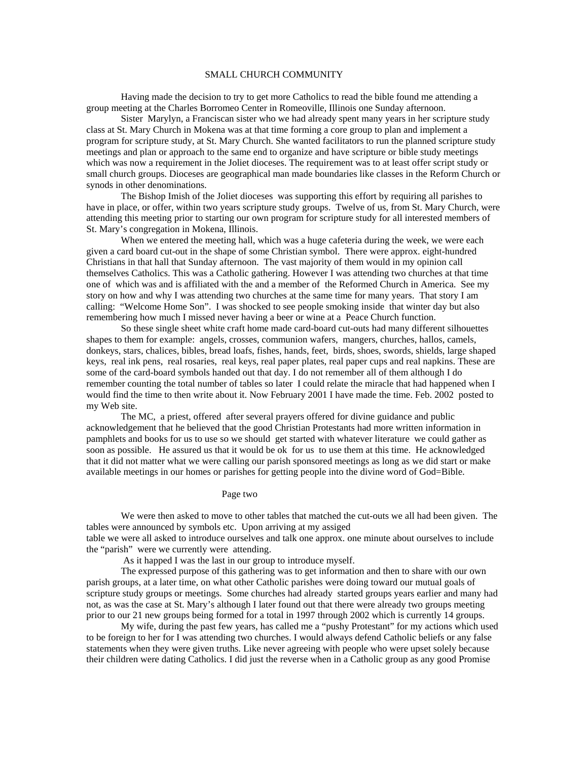## SMALL CHURCH COMMUNITY

Having made the decision to try to get more Catholics to read the bible found me attending a group meeting at the Charles Borromeo Center in Romeoville, Illinois one Sunday afternoon.

Sister Marylyn, a Franciscan sister who we had already spent many years in her scripture study class at St. Mary Church in Mokena was at that time forming a core group to plan and implement a program for scripture study, at St. Mary Church. She wanted facilitators to run the planned scripture study meetings and plan or approach to the same end to organize and have scripture or bible study meetings which was now a requirement in the Joliet dioceses. The requirement was to at least offer script study or small church groups. Dioceses are geographical man made boundaries like classes in the Reform Church or synods in other denominations.

The Bishop Imish of the Joliet dioceses was supporting this effort by requiring all parishes to have in place, or offer, within two years scripture study groups. Twelve of us, from St. Mary Church, were attending this meeting prior to starting our own program for scripture study for all interested members of St. Mary's congregation in Mokena, Illinois.

When we entered the meeting hall, which was a huge cafeteria during the week, we were each given a card board cut-out in the shape of some Christian symbol. There were approx. eight-hundred Christians in that hall that Sunday afternoon. The vast majority of them would in my opinion call themselves Catholics. This was a Catholic gathering. However I was attending two churches at that time one of which was and is affiliated with the and a member of the Reformed Church in America. See my story on how and why I was attending two churches at the same time for many years. That story I am calling: "Welcome Home Son". I was shocked to see people smoking inside that winter day but also remembering how much I missed never having a beer or wine at a Peace Church function.

So these single sheet white craft home made card-board cut-outs had many different silhouettes shapes to them for example: angels, crosses, communion wafers, mangers, churches, hallos, camels, donkeys, stars, chalices, bibles, bread loafs, fishes, hands, feet, birds, shoes, swords, shields, large shaped keys, real ink pens, real rosaries, real keys, real paper plates, real paper cups and real napkins. These are some of the card-board symbols handed out that day. I do not remember all of them although I do remember counting the total number of tables so later I could relate the miracle that had happened when I would find the time to then write about it. Now February 2001 I have made the time. Feb. 2002 posted to my Web site.

The MC, a priest, offered after several prayers offered for divine guidance and public acknowledgement that he believed that the good Christian Protestants had more written information in pamphlets and books for us to use so we should get started with whatever literature we could gather as soon as possible. He assured us that it would be ok for us to use them at this time. He acknowledged that it did not matter what we were calling our parish sponsored meetings as long as we did start or make available meetings in our homes or parishes for getting people into the divine word of God=Bible.

## Page two

 We were then asked to move to other tables that matched the cut-outs we all had been given. The tables were announced by symbols etc. Upon arriving at my assiged table we were all asked to introduce ourselves and talk one approx. one minute about ourselves to include the "parish" were we currently were attending.

As it happed I was the last in our group to introduce myself.

The expressed purpose of this gathering was to get information and then to share with our own parish groups, at a later time, on what other Catholic parishes were doing toward our mutual goals of scripture study groups or meetings. Some churches had already started groups years earlier and many had not, as was the case at St. Mary's although I later found out that there were already two groups meeting prior to our 21 new groups being formed for a total in 1997 through 2002 which is currently 14 groups.

My wife, during the past few years, has called me a "pushy Protestant" for my actions which used to be foreign to her for I was attending two churches. I would always defend Catholic beliefs or any false statements when they were given truths. Like never agreeing with people who were upset solely because their children were dating Catholics. I did just the reverse when in a Catholic group as any good Promise